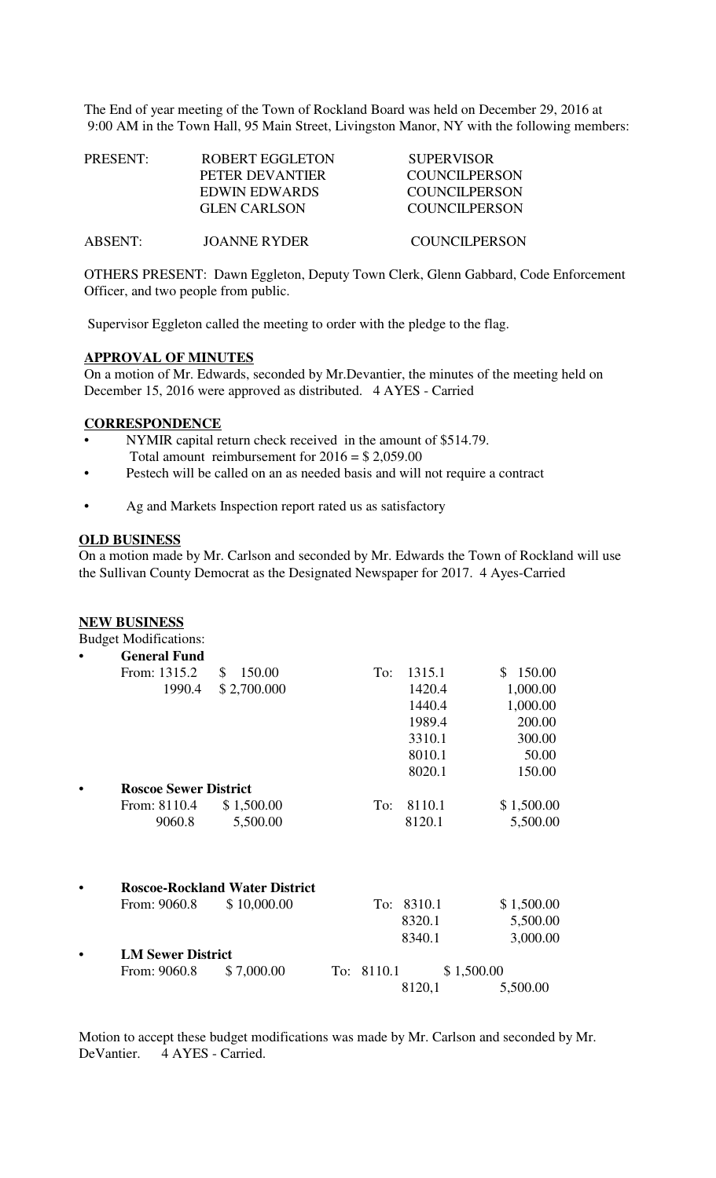The End of year meeting of the Town of Rockland Board was held on December 29, 2016 at 9:00 AM in the Town Hall, 95 Main Street, Livingston Manor, NY with the following members:

| PRESENT: | ROBERT EGGLETON     | <b>SUPERVISOR</b>    |
|----------|---------------------|----------------------|
|          | PETER DEVANTIER     | <b>COUNCILPERSON</b> |
|          | EDWIN EDWARDS       | <b>COUNCILPERSON</b> |
|          | <b>GLEN CARLSON</b> | COUNCIL PERSON       |
| ABSENT:  | <b>JOANNE RYDER</b> | COUNCILPERSON        |

OTHERS PRESENT: Dawn Eggleton, Deputy Town Clerk, Glenn Gabbard, Code Enforcement Officer, and two people from public.

Supervisor Eggleton called the meeting to order with the pledge to the flag.

### **APPROVAL OF MINUTES**

On a motion of Mr. Edwards, seconded by Mr.Devantier, the minutes of the meeting held on December 15, 2016 were approved as distributed. 4 AYES - Carried

#### **CORRESPONDENCE**

- NYMIR capital return check received in the amount of \$514.79. Total amount reimbursement for  $2016 = $2,059.00$
- Pestech will be called on an as needed basis and will not require a contract
- Ag and Markets Inspection report rated us as satisfactory

#### **OLD BUSINESS**

On a motion made by Mr. Carlson and seconded by Mr. Edwards the Town of Rockland will use the Sullivan County Democrat as the Designated Newspaper for 2017. 4 Ayes-Carried

### **NEW BUSINESS**

Budget Modifications:

|  | <b>General Fund</b>          |                                       |            |     |        |              |
|--|------------------------------|---------------------------------------|------------|-----|--------|--------------|
|  | From: 1315.2                 | \$<br>150.00                          |            | To: | 1315.1 | 150.00<br>\$ |
|  | 1990.4                       | \$2,700.000                           |            |     | 1420.4 | 1,000.00     |
|  |                              |                                       |            |     | 1440.4 | 1,000.00     |
|  |                              |                                       |            |     | 1989.4 | 200.00       |
|  |                              |                                       |            |     | 3310.1 | 300.00       |
|  |                              |                                       |            |     | 8010.1 | 50.00        |
|  |                              |                                       |            |     | 8020.1 | 150.00       |
|  | <b>Roscoe Sewer District</b> |                                       |            |     |        |              |
|  | From: 8110.4                 | \$1,500.00                            |            | To: | 8110.1 | \$1,500.00   |
|  | 9060.8                       | 5,500.00                              |            |     | 8120.1 | 5,500.00     |
|  |                              |                                       |            |     |        |              |
|  |                              | <b>Roscoe-Rockland Water District</b> |            |     |        |              |
|  | From: 9060.8                 | \$10,000.00                           |            | To: | 8310.1 | \$1,500.00   |
|  |                              |                                       |            |     | 8320.1 | 5,500.00     |
|  |                              |                                       |            |     | 8340.1 | 3,000.00     |
|  | <b>LM Sewer District</b>     |                                       |            |     |        |              |
|  | From: 9060.8                 | \$7,000.00                            | To: 8110.1 |     |        | \$1,500.00   |
|  |                              |                                       |            |     | 8120,1 | 5,500.00     |

Motion to accept these budget modifications was made by Mr. Carlson and seconded by Mr. DeVantier. 4 AYES - Carried.